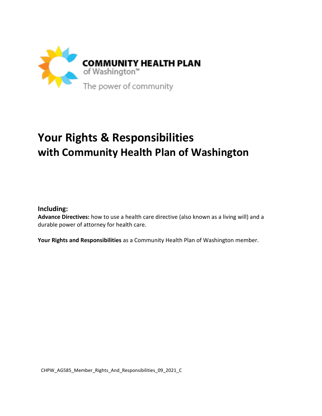

# **Your Rights & Responsibilities with Community Health Plan of Washington**

**Including:**

**Advance Directives:** how to use a health care directive (also known as a living will) and a durable power of attorney for health care.

**Your Rights and Responsibilities** as a Community Health Plan of Washington member.

CHPW\_AG585\_Member\_Rights\_And\_Responsibilities\_09\_2021\_C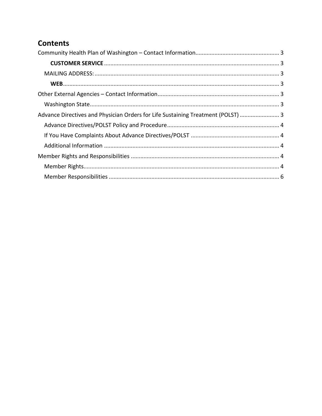# **Contents**

| Advance Directives and Physician Orders for Life Sustaining Treatment (POLST)  3 |  |
|----------------------------------------------------------------------------------|--|
|                                                                                  |  |
|                                                                                  |  |
|                                                                                  |  |
|                                                                                  |  |
|                                                                                  |  |
|                                                                                  |  |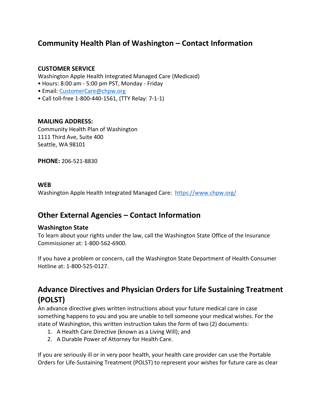### <span id="page-2-0"></span>**Community Health Plan of Washington – Contact Information**

### <span id="page-2-1"></span>**CUSTOMER SERVICE**

Washington Apple Health Integrated Managed Care (Medicaid)

- Hours: 8:00 am ‐ 5:00 pm PST, Monday Friday
- Email: [CustomerCare@chpw.org](mailto:CustomerCare@chpw.org)
- Call toll‐free 1‐800-440-1561, (TTY Relay: 7-1-1)

#### <span id="page-2-2"></span>**MAILING ADDRESS:**

Community Health Plan of Washington 1111 Third Ave, Suite 400 Seattle, WA 98101

**PHONE:** 206‐521‐8830

#### <span id="page-2-3"></span>**WEB**

Washington Apple Health Integrated Managed Care: <https://www.chpw.org/>

### <span id="page-2-4"></span>**Other External Agencies – Contact Information**

#### <span id="page-2-5"></span>**Washington State**

To learn about your rights under the law, call the Washington State Office of the Insurance Commissioner at: 1-800-562-6900.

If you have a problem or concern, call the Washington State Department of Health Consumer Hotline at: 1-800-525-0127.

## <span id="page-2-6"></span>**Advance Directives and Physician Orders for Life Sustaining Treatment (POLST)**

An advance directive gives written instructions about your future medical care in case something happens to you and you are unable to tell someone your medical wishes. For the state of Washington, this written instruction takes the form of two (2) documents:

- 1. A Health Care Directive (known as a Living Will); and
- 2. A Durable Power of Attorney for Health Care.

If you are seriously ill or in very poor health, your health care provider can use the Portable Orders for Life-Sustaining Treatment (POLST) to represent your wishes for future care as clear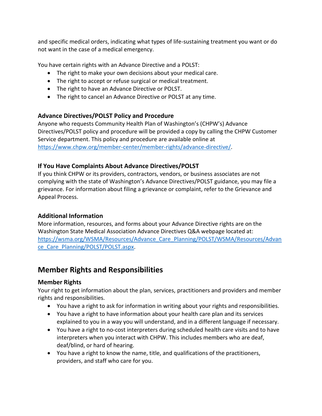and specific medical orders, indicating what types of life-sustaining treatment you want or do not want in the case of a medical emergency.

You have certain rights with an Advance Directive and a POLST:

- The right to make your own decisions about your medical care.
- The right to accept or refuse surgical or medical treatment.
- The right to have an Advance Directive or POLST.
- The right to cancel an Advance Directive or POLST at any time.

### <span id="page-3-0"></span>**Advance Directives/POLST Policy and Procedure**

Anyone who requests Community Health Plan of Washington's (CHPW's) Advance Directives/POLST policy and procedure will be provided a copy by calling the CHPW Customer Service department. This policy and procedure are available online at [https://www.chpw.org/member-center/member-rights/advance-directive/.](https://www.chpw.org/member-center/member-rights/advance-directive/)

### <span id="page-3-1"></span>**If You Have Complaints About Advance Directives/POLST**

If you think CHPW or its providers, contractors, vendors, or business associates are not complying with the state of Washington's Advance Directives/POLST guidance, you may file a grievance. For information about filing a grievance or complaint, refer to the Grievance and Appeal Process.

### <span id="page-3-2"></span>**Additional Information**

More information, resources, and forms about your Advance Directive rights are on the Washington State Medical Association Advance Directives Q&A webpage located at: [https://wsma.org/WSMA/Resources/Advance\\_Care\\_Planning/POLST/WSMA/Resources/Advan](https://wsma.org/WSMA/Resources/Advance_Care_Planning/POLST/WSMA/Resources/Advance_Care_Planning/POLST/POLST.aspx) ce Care Planning/POLST/POLST.aspx.

### <span id="page-3-3"></span>**Member Rights and Responsibilities**

### <span id="page-3-4"></span>**Member Rights**

Your right to get information about the plan, services, practitioners and providers and member rights and responsibilities.

- You have a right to ask for information in writing about your rights and responsibilities.
- You have a right to have information about your health care plan and its services explained to you in a way you will understand, and in a different language if necessary.
- You have a right to no‐cost interpreters during scheduled health care visits and to have interpreters when you interact with CHPW. This includes members who are deaf, deaf/blind, or hard of hearing.
- You have a right to know the name, title, and qualifications of the practitioners, providers, and staff who care for you.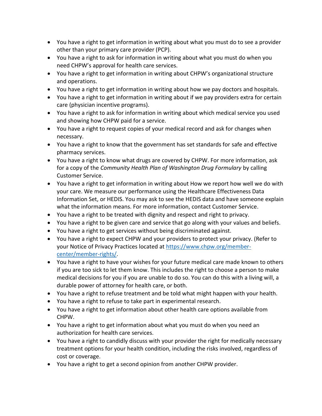- You have a right to get information in writing about what you must do to see a provider other than your primary care provider (PCP).
- You have a right to ask for information in writing about what you must do when you need CHPW's approval for health care services.
- You have a right to get information in writing about CHPW's organizational structure and operations.
- You have a right to get information in writing about how we pay doctors and hospitals.
- You have a right to get information in writing about if we pay providers extra for certain care (physician incentive programs).
- You have a right to ask for information in writing about which medical service you used and showing how CHPW paid for a service.
- You have a right to request copies of your medical record and ask for changes when necessary.
- You have a right to know that the government has set standards for safe and effective pharmacy services.
- You have a right to know what drugs are covered by CHPW. For more information, ask for a copy of the *Community Health Plan of Washington Drug Formulary* by calling Customer Service.
- You have a right to get information in writing about How we report how well we do with your care. We measure our performance using the Healthcare Effectiveness Data Information Set, or HEDIS. You may ask to see the HEDIS data and have someone explain what the information means. For more information, contact Customer Service.
- You have a right to be treated with dignity and respect and right to privacy.
- You have a right to be given care and service that go along with your values and beliefs.
- You have a right to get services without being discriminated against.
- You have a right to expect CHPW and your providers to protect your privacy. (Refer to your Notice of Privacy Practices located at [https://www.chpw.org/member](https://www.chpw.org/member-center/member-rights/)[center/member-rights/.](https://www.chpw.org/member-center/member-rights/)
- You have a right to have your wishes for your future medical care made known to others if you are too sick to let them know. This includes the right to choose a person to make medical decisions for you if you are unable to do so. You can do this with a living will, a durable power of attorney for health care, or both.
- You have a right to refuse treatment and be told what might happen with your health.
- You have a right to refuse to take part in experimental research.
- You have a right to get information about other health care options available from CHPW.
- You have a right to get information about what you must do when you need an authorization for health care services.
- You have a right to candidly discuss with your provider the right for medically necessary treatment options for your health condition, including the risks involved, regardless of cost or coverage.
- You have a right to get a second opinion from another CHPW provider.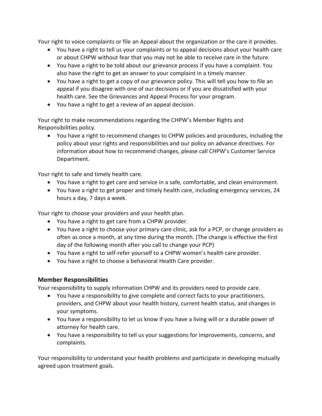Your right to voice complaints or file an Appeal about the organization or the care it provides.

- You have a right to tell us your complaints or to appeal decisions about your health care or about CHPW without fear that you may not be able to receive care in the future.
- You have a right to be told about our grievance process if you have a complaint. You also have the right to get an answer to your complaint in a timely manner.
- You have a right to get a copy of our grievance policy. This will tell you how to file an appeal if you disagree with one of our decisions or if you are dissatisfied with your health care. See the Grievances and Appeal Process for your program.
- You have a right to get a review of an appeal decision.

Your right to make recommendations regarding the CHPW's Member Rights and Responsibilities policy.

• You have a right to recommend changes to CHPW policies and procedures, including the policy about your rights and responsibilities and our policy on advance directives. For information about how to recommend changes, please call CHPW's Customer Service Department.

Your right to safe and timely health care.

- You have a right to get care and service in a safe, comfortable, and clean environment.
- You have a right to get proper and timely health care, including emergency services, 24 hours a day, 7 days a week.

Your right to choose your providers and your health plan.

- You have a right to get care from a CHPW provider.
- You have a right to choose your primary care clinic, ask for a PCP, or change providers as often as once a month, at any time during the month. (The change is effective the first day of the following month after you call to change your PCP)
- You have a right to self-refer yourself to a CHPW women's health care provider.
- You have a right to choose a behavioral Health Care provider.

### <span id="page-5-0"></span>**Member Responsibilities**

Your responsibility to supply information CHPW and its providers need to provide care.

- You have a responsibility to give complete and correct facts to your practitioners, providers, and CHPW about your health history, current health status, and changes in your symptoms.
- You have a responsibility to let us know if you have a living will or a durable power of attorney for health care.
- You have a responsibility to tell us your suggestions for improvements, concerns, and complaints.

Your responsibility to understand your health problems and participate in developing mutually agreed upon treatment goals.